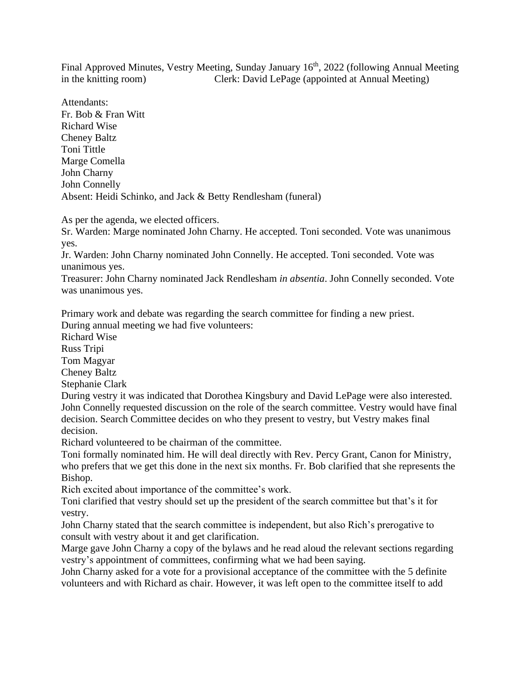Final Approved Minutes, Vestry Meeting, Sunday January 16<sup>th</sup>, 2022 (following Annual Meeting in the knitting room) Clerk: David LePage (appointed at Annual Meeting)

Attendants: Fr. Bob & Fran Witt Richard Wise Cheney Baltz Toni Tittle Marge Comella John Charny John Connelly Absent: Heidi Schinko, and Jack & Betty Rendlesham (funeral)

As per the agenda, we elected officers.

Sr. Warden: Marge nominated John Charny. He accepted. Toni seconded. Vote was unanimous yes.

Jr. Warden: John Charny nominated John Connelly. He accepted. Toni seconded. Vote was unanimous yes.

Treasurer: John Charny nominated Jack Rendlesham *in absentia*. John Connelly seconded. Vote was unanimous yes.

Primary work and debate was regarding the search committee for finding a new priest. During annual meeting we had five volunteers:

Richard Wise

Russ Tripi

Tom Magyar

Cheney Baltz

Stephanie Clark

During vestry it was indicated that Dorothea Kingsbury and David LePage were also interested. John Connelly requested discussion on the role of the search committee. Vestry would have final decision. Search Committee decides on who they present to vestry, but Vestry makes final decision.

Richard volunteered to be chairman of the committee.

Toni formally nominated him. He will deal directly with Rev. Percy Grant, Canon for Ministry, who prefers that we get this done in the next six months. Fr. Bob clarified that she represents the Bishop.

Rich excited about importance of the committee's work.

Toni clarified that vestry should set up the president of the search committee but that's it for vestry.

John Charny stated that the search committee is independent, but also Rich's prerogative to consult with vestry about it and get clarification.

Marge gave John Charny a copy of the bylaws and he read aloud the relevant sections regarding vestry's appointment of committees, confirming what we had been saying.

John Charny asked for a vote for a provisional acceptance of the committee with the 5 definite volunteers and with Richard as chair. However, it was left open to the committee itself to add